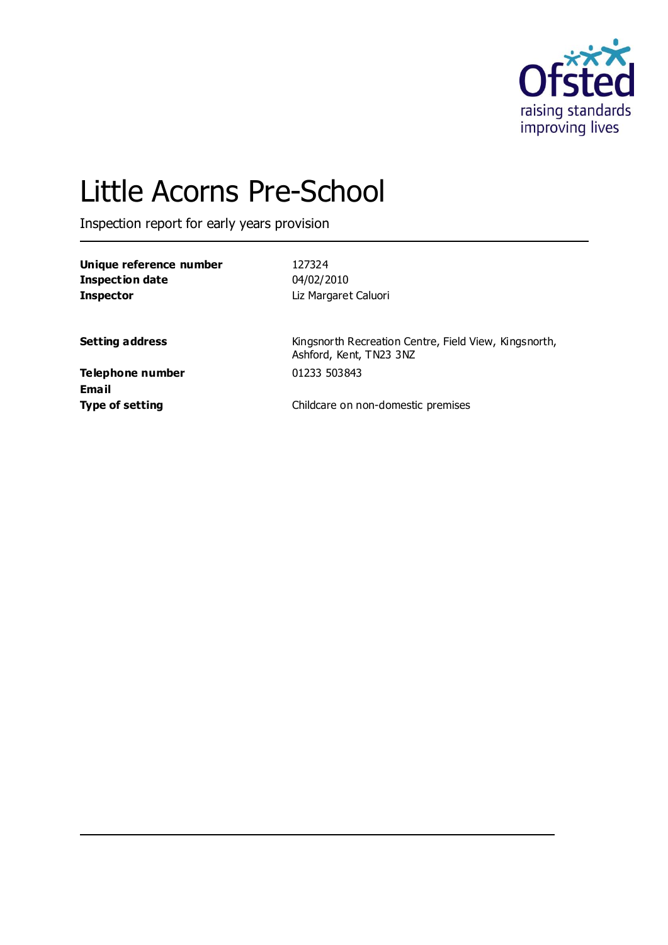

# Little Acorns Pre-School

Inspection report for early years provision

**Unique reference number** 127324 **Inspection date** 04/02/2010 **Inspector** Liz Margaret Caluori

**Setting address** Kingsnorth Recreation Centre, Field View, Kingsnorth, Ashford, Kent, TN23 3NZ

**Telephone number** 01233 503843 **Email**

**Type of setting** Type of setting **Childcare on non-domestic premises**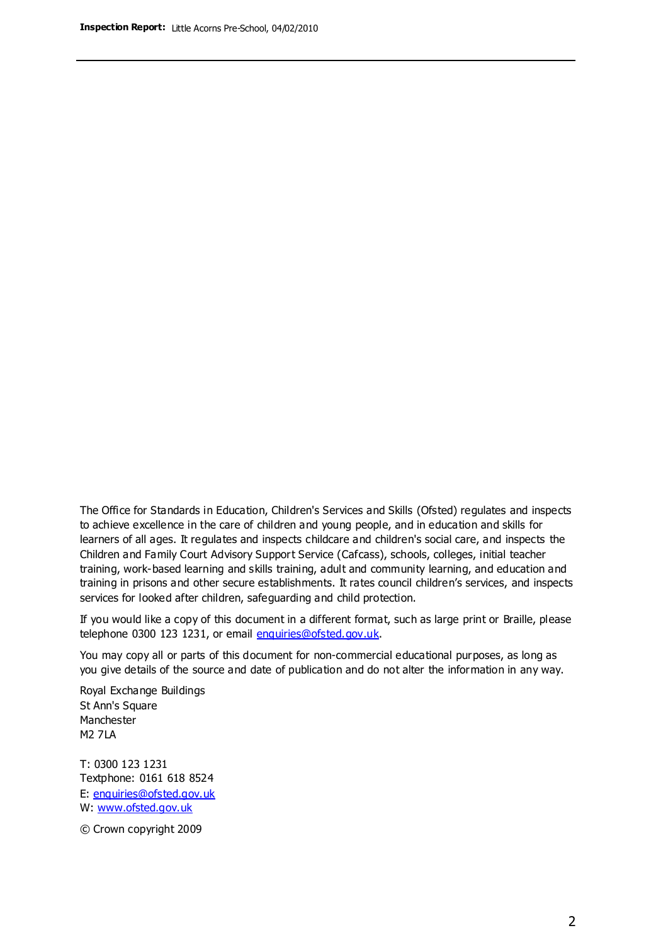The Office for Standards in Education, Children's Services and Skills (Ofsted) regulates and inspects to achieve excellence in the care of children and young people, and in education and skills for learners of all ages. It regulates and inspects childcare and children's social care, and inspects the Children and Family Court Advisory Support Service (Cafcass), schools, colleges, initial teacher training, work-based learning and skills training, adult and community learning, and education and training in prisons and other secure establishments. It rates council children's services, and inspects services for looked after children, safeguarding and child protection.

If you would like a copy of this document in a different format, such as large print or Braille, please telephone 0300 123 1231, or email enquiries@ofsted.gov.uk.

You may copy all or parts of this document for non-commercial educational purposes, as long as you give details of the source and date of publication and do not alter the information in any way.

Royal Exchange Buildings St Ann's Square Manchester M2 7LA

T: 0300 123 1231 Textphone: 0161 618 8524 E: enquiries@ofsted.gov.uk W: [www.ofsted.gov.uk](http://www.ofsted.gov.uk/)

© Crown copyright 2009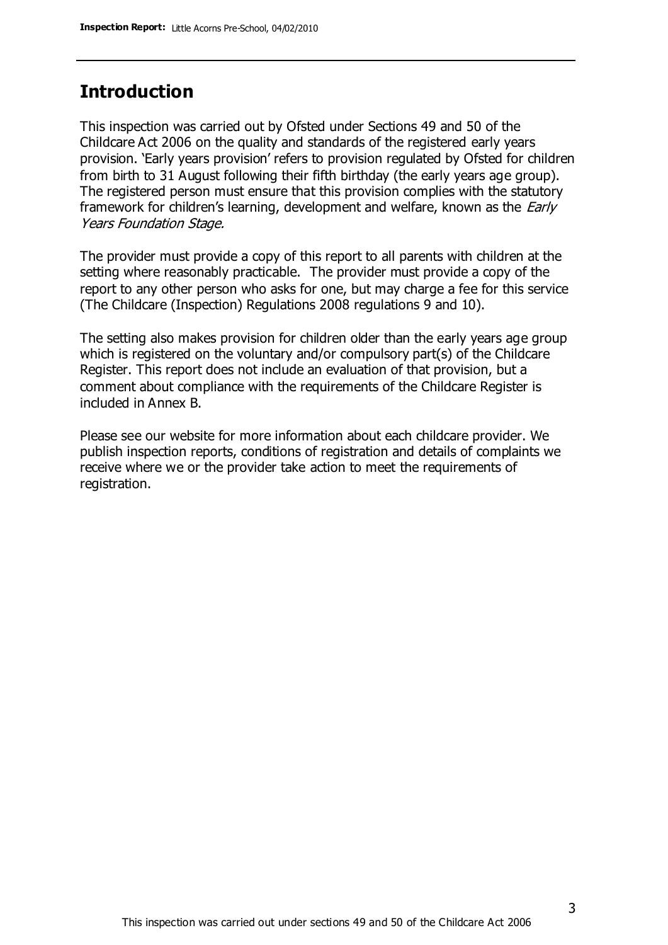### **Introduction**

This inspection was carried out by Ofsted under Sections 49 and 50 of the Childcare Act 2006 on the quality and standards of the registered early years provision. 'Early years provision' refers to provision regulated by Ofsted for children from birth to 31 August following their fifth birthday (the early years age group). The registered person must ensure that this provision complies with the statutory framework for children's learning, development and welfare, known as the *Early* Years Foundation Stage.

The provider must provide a copy of this report to all parents with children at the setting where reasonably practicable. The provider must provide a copy of the report to any other person who asks for one, but may charge a fee for this service (The Childcare (Inspection) Regulations 2008 regulations 9 and 10).

The setting also makes provision for children older than the early years age group which is registered on the voluntary and/or compulsory part(s) of the Childcare Register. This report does not include an evaluation of that provision, but a comment about compliance with the requirements of the Childcare Register is included in Annex B.

Please see our website for more information about each childcare provider. We publish inspection reports, conditions of registration and details of complaints we receive where we or the provider take action to meet the requirements of registration.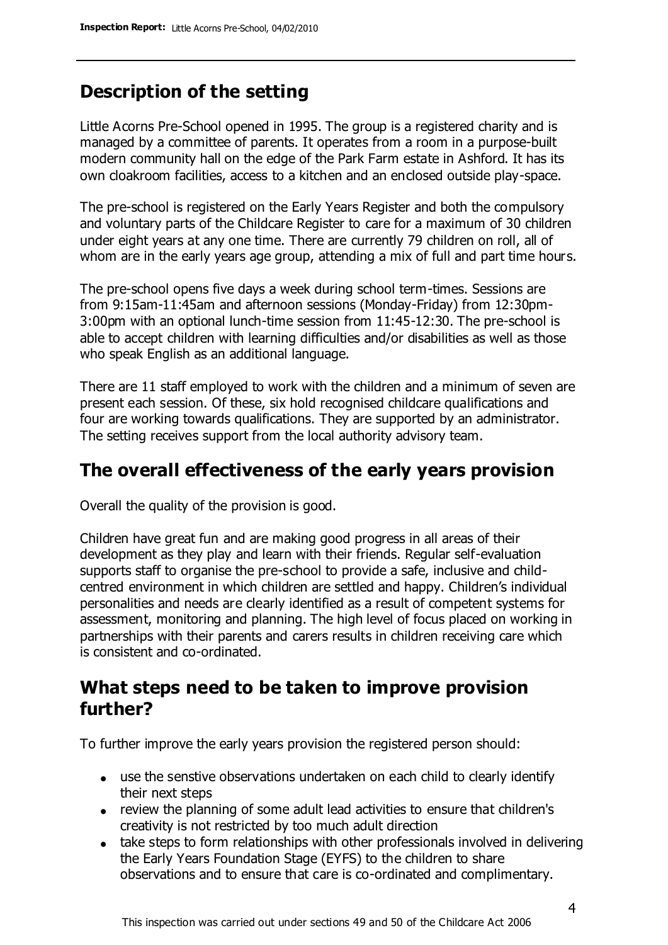### **Description of the setting**

Little Acorns Pre-School opened in 1995. The group is a registered charity and is managed by a committee of parents. It operates from a room in a purpose-built modern community hall on the edge of the Park Farm estate in Ashford. It has its own cloakroom facilities, access to a kitchen and an enclosed outside play-space.

The pre-school is registered on the Early Years Register and both the compulsory and voluntary parts of the Childcare Register to care for a maximum of 30 children under eight years at any one time. There are currently 79 children on roll, all of whom are in the early years age group, attending a mix of full and part time hours.

The pre-school opens five days a week during school term-times. Sessions are from 9:15am-11:45am and afternoon sessions (Monday-Friday) from 12:30pm-3:00pm with an optional lunch-time session from 11:45-12:30. The pre-school is able to accept children with learning difficulties and/or disabilities as well as those who speak English as an additional language.

There are 11 staff employed to work with the children and a minimum of seven are present each session. Of these, six hold recognised childcare qualifications and four are working towards qualifications. They are supported by an administrator. The setting receives support from the local authority advisory team.

### **The overall effectiveness of the early years provision**

Overall the quality of the provision is good.

Children have great fun and are making good progress in all areas of their development as they play and learn with their friends. Regular self-evaluation supports staff to organise the pre-school to provide a safe, inclusive and childcentred environment in which children are settled and happy. Children's individual personalities and needs are clearly identified as a result of competent systems for assessment, monitoring and planning. The high level of focus placed on working in partnerships with their parents and carers results in children receiving care which is consistent and co-ordinated.

### **What steps need to be taken to improve provision further?**

To further improve the early years provision the registered person should:

- use the senstive observations undertaken on each child to clearly identify their next steps
- review the planning of some adult lead activities to ensure that children's creativity is not restricted by too much adult direction
- take steps to form relationships with other professionals involved in delivering the Early Years Foundation Stage (EYFS) to the children to share observations and to ensure that care is co-ordinated and complimentary.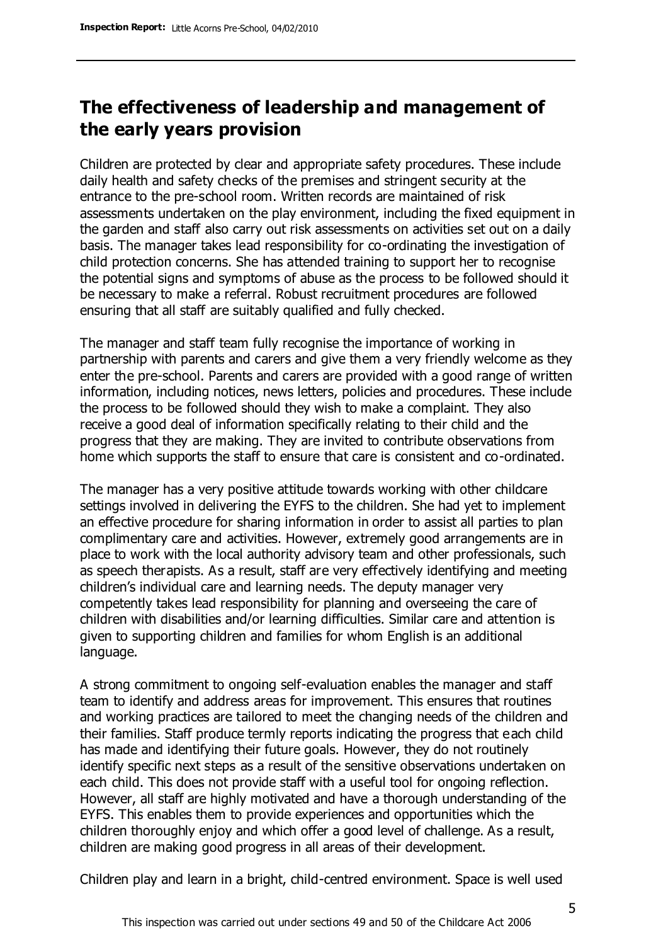### **The effectiveness of leadership and management of the early years provision**

Children are protected by clear and appropriate safety procedures. These include daily health and safety checks of the premises and stringent security at the entrance to the pre-school room. Written records are maintained of risk assessments undertaken on the play environment, including the fixed equipment in the garden and staff also carry out risk assessments on activities set out on a daily basis. The manager takes lead responsibility for co-ordinating the investigation of child protection concerns. She has attended training to support her to recognise the potential signs and symptoms of abuse as the process to be followed should it be necessary to make a referral. Robust recruitment procedures are followed ensuring that all staff are suitably qualified and fully checked.

The manager and staff team fully recognise the importance of working in partnership with parents and carers and give them a very friendly welcome as they enter the pre-school. Parents and carers are provided with a good range of written information, including notices, news letters, policies and procedures. These include the process to be followed should they wish to make a complaint. They also receive a good deal of information specifically relating to their child and the progress that they are making. They are invited to contribute observations from home which supports the staff to ensure that care is consistent and co-ordinated.

The manager has a very positive attitude towards working with other childcare settings involved in delivering the EYFS to the children. She had yet to implement an effective procedure for sharing information in order to assist all parties to plan complimentary care and activities. However, extremely good arrangements are in place to work with the local authority advisory team and other professionals, such as speech therapists. As a result, staff are very effectively identifying and meeting children's individual care and learning needs. The deputy manager very competently takes lead responsibility for planning and overseeing the care of children with disabilities and/or learning difficulties. Similar care and attention is given to supporting children and families for whom English is an additional language.

A strong commitment to ongoing self-evaluation enables the manager and staff team to identify and address areas for improvement. This ensures that routines and working practices are tailored to meet the changing needs of the children and their families. Staff produce termly reports indicating the progress that each child has made and identifying their future goals. However, they do not routinely identify specific next steps as a result of the sensitive observations undertaken on each child. This does not provide staff with a useful tool for ongoing reflection. However, all staff are highly motivated and have a thorough understanding of the EYFS. This enables them to provide experiences and opportunities which the children thoroughly enjoy and which offer a good level of challenge. As a result, children are making good progress in all areas of their development.

Children play and learn in a bright, child-centred environment. Space is well used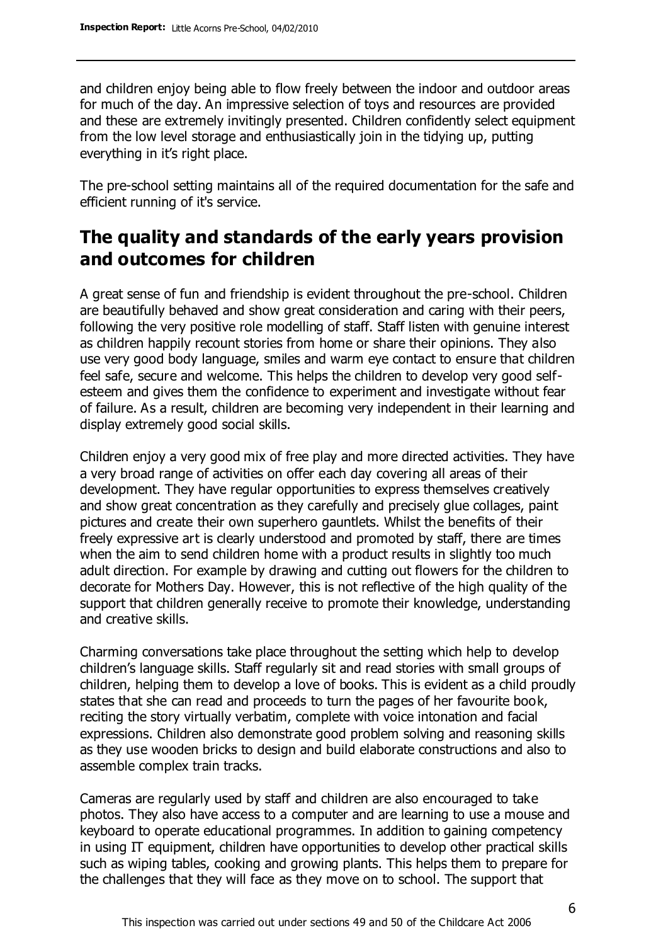and children enjoy being able to flow freely between the indoor and outdoor areas for much of the day. An impressive selection of toys and resources are provided and these are extremely invitingly presented. Children confidently select equipment from the low level storage and enthusiastically join in the tidying up, putting everything in it's right place.

The pre-school setting maintains all of the required documentation for the safe and efficient running of it's service.

### **The quality and standards of the early years provision and outcomes for children**

A great sense of fun and friendship is evident throughout the pre-school. Children are beautifully behaved and show great consideration and caring with their peers, following the very positive role modelling of staff. Staff listen with genuine interest as children happily recount stories from home or share their opinions. They also use very good body language, smiles and warm eye contact to ensure that children feel safe, secure and welcome. This helps the children to develop very good selfesteem and gives them the confidence to experiment and investigate without fear of failure. As a result, children are becoming very independent in their learning and display extremely good social skills.

Children enjoy a very good mix of free play and more directed activities. They have a very broad range of activities on offer each day covering all areas of their development. They have regular opportunities to express themselves creatively and show great concentration as they carefully and precisely glue collages, paint pictures and create their own superhero gauntlets. Whilst the benefits of their freely expressive art is clearly understood and promoted by staff, there are times when the aim to send children home with a product results in slightly too much adult direction. For example by drawing and cutting out flowers for the children to decorate for Mothers Day. However, this is not reflective of the high quality of the support that children generally receive to promote their knowledge, understanding and creative skills.

Charming conversations take place throughout the setting which help to develop children's language skills. Staff regularly sit and read stories with small groups of children, helping them to develop a love of books. This is evident as a child proudly states that she can read and proceeds to turn the pages of her favourite book, reciting the story virtually verbatim, complete with voice intonation and facial expressions. Children also demonstrate good problem solving and reasoning skills as they use wooden bricks to design and build elaborate constructions and also to assemble complex train tracks.

Cameras are regularly used by staff and children are also encouraged to take photos. They also have access to a computer and are learning to use a mouse and keyboard to operate educational programmes. In addition to gaining competency in using IT equipment, children have opportunities to develop other practical skills such as wiping tables, cooking and growing plants. This helps them to prepare for the challenges that they will face as they move on to school. The support that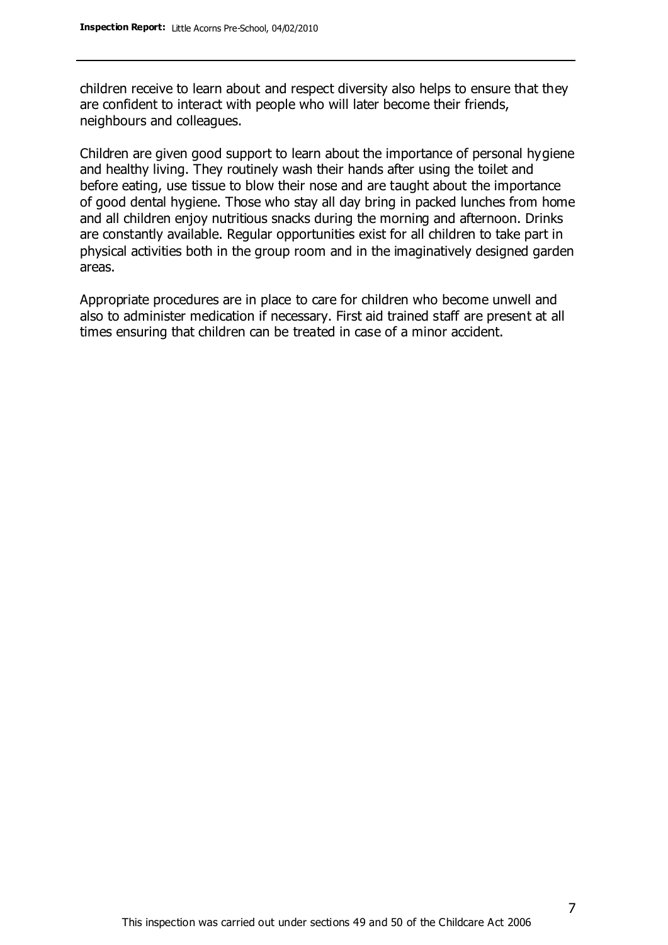children receive to learn about and respect diversity also helps to ensure that they are confident to interact with people who will later become their friends, neighbours and colleagues.

Children are given good support to learn about the importance of personal hygiene and healthy living. They routinely wash their hands after using the toilet and before eating, use tissue to blow their nose and are taught about the importance of good dental hygiene. Those who stay all day bring in packed lunches from home and all children enjoy nutritious snacks during the morning and afternoon. Drinks are constantly available. Regular opportunities exist for all children to take part in physical activities both in the group room and in the imaginatively designed garden areas.

Appropriate procedures are in place to care for children who become unwell and also to administer medication if necessary. First aid trained staff are present at all times ensuring that children can be treated in case of a minor accident.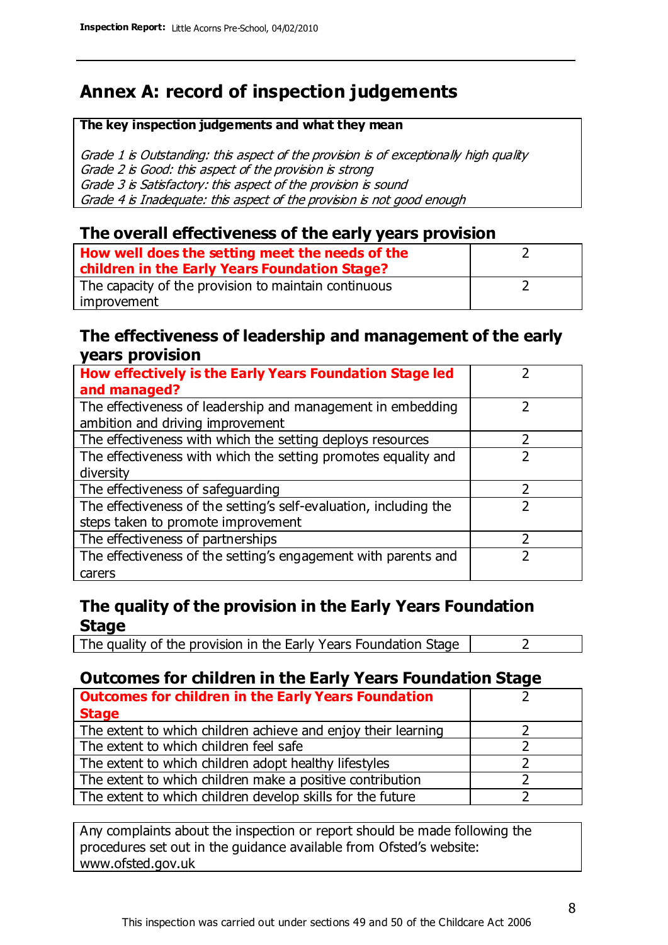### **Annex A: record of inspection judgements**

#### **The key inspection judgements and what they mean**

Grade 1 is Outstanding: this aspect of the provision is of exceptionally high quality Grade 2 is Good: this aspect of the provision is strong Grade 3 is Satisfactory: this aspect of the provision is sound Grade 4 is Inadequate: this aspect of the provision is not good enough

#### **The overall effectiveness of the early years provision**

| How well does the setting meet the needs of the<br>children in the Early Years Foundation Stage? |  |
|--------------------------------------------------------------------------------------------------|--|
| The capacity of the provision to maintain continuous                                             |  |
| improvement                                                                                      |  |

#### **The effectiveness of leadership and management of the early years provision**

| How effectively is the Early Years Foundation Stage led           |  |
|-------------------------------------------------------------------|--|
| and managed?                                                      |  |
| The effectiveness of leadership and management in embedding       |  |
| ambition and driving improvement                                  |  |
| The effectiveness with which the setting deploys resources        |  |
| The effectiveness with which the setting promotes equality and    |  |
| diversity                                                         |  |
| The effectiveness of safeguarding                                 |  |
| The effectiveness of the setting's self-evaluation, including the |  |
| steps taken to promote improvement                                |  |
| The effectiveness of partnerships                                 |  |
| The effectiveness of the setting's engagement with parents and    |  |
| carers                                                            |  |

#### **The quality of the provision in the Early Years Foundation Stage**

The quality of the provision in the Early Years Foundation Stage  $\vert$  2

#### **Outcomes for children in the Early Years Foundation Stage**

| <b>Outcomes for children in the Early Years Foundation</b>    |  |
|---------------------------------------------------------------|--|
| <b>Stage</b>                                                  |  |
| The extent to which children achieve and enjoy their learning |  |
| The extent to which children feel safe                        |  |
| The extent to which children adopt healthy lifestyles         |  |
| The extent to which children make a positive contribution     |  |
| The extent to which children develop skills for the future    |  |

Any complaints about the inspection or report should be made following the procedures set out in the guidance available from Ofsted's website: www.ofsted.gov.uk